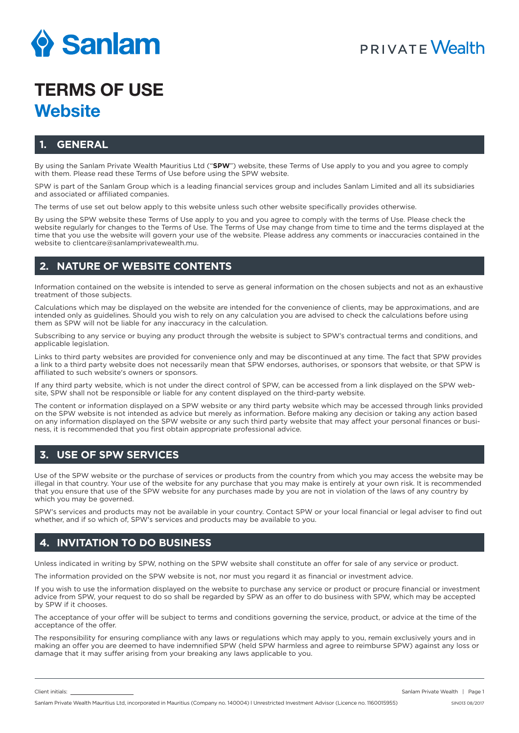

## **PRIVATE Wealth**

## **TERMS OF USE Website**

#### **1. GENERAL**

By using the Sanlam Private Wealth Mauritius Ltd ("**SPW**") website, these Terms of Use apply to you and you agree to comply with them. Please read these Terms of Use before using the SPW website.

SPW is part of the Sanlam Group which is a leading financial services group and includes Sanlam Limited and all its subsidiaries and associated or affiliated companies.

The terms of use set out below apply to this website unless such other website specifically provides otherwise.

By using the SPW website these Terms of Use apply to you and you agree to comply with the terms of Use. Please check the website regularly for changes to the Terms of Use. The Terms of Use may change from time to time and the terms displayed at the time that you use the website will govern your use of the website. Please address any comments or inaccuracies contained in the website to clientcare@sanlamprivatewealth.mu.

#### **2. NATURE OF WEBSITE CONTENTS**

Information contained on the website is intended to serve as general information on the chosen subjects and not as an exhaustive treatment of those subjects.

Calculations which may be displayed on the website are intended for the convenience of clients, may be approximations, and are intended only as guidelines. Should you wish to rely on any calculation you are advised to check the calculations before using them as SPW will not be liable for any inaccuracy in the calculation.

Subscribing to any service or buying any product through the website is subject to SPW's contractual terms and conditions, and applicable legislation.

Links to third party websites are provided for convenience only and may be discontinued at any time. The fact that SPW provides a link to a third party website does not necessarily mean that SPW endorses, authorises, or sponsors that website, or that SPW is affiliated to such website's owners or sponsors.

If any third party website, which is not under the direct control of SPW, can be accessed from a link displayed on the SPW website, SPW shall not be responsible or liable for any content displayed on the third-party website.

The content or information displayed on a SPW website or any third party website which may be accessed through links provided on the SPW website is not intended as advice but merely as information. Before making any decision or taking any action based on any information displayed on the SPW website or any such third party website that may affect your personal finances or business, it is recommended that you first obtain appropriate professional advice.

#### **3. USE OF SPW SERVICES**

Use of the SPW website or the purchase of services or products from the country from which you may access the website may be illegal in that country. Your use of the website for any purchase that you may make is entirely at your own risk. It is recommended that you ensure that use of the SPW website for any purchases made by you are not in violation of the laws of any country by which you may be governed.

SPW's services and products may not be available in your country. Contact SPW or your local financial or legal adviser to find out whether, and if so which of, SPW's services and products may be available to you.

#### **4. INVITATION TO DO BUSINESS**

Unless indicated in writing by SPW, nothing on the SPW website shall constitute an offer for sale of any service or product.

The information provided on the SPW website is not, nor must you regard it as financial or investment advice.

If you wish to use the information displayed on the website to purchase any service or product or procure financial or investment advice from SPW, your request to do so shall be regarded by SPW as an offer to do business with SPW, which may be accepted by SPW if it chooses.

The acceptance of your offer will be subject to terms and conditions governing the service, product, or advice at the time of the acceptance of the offer.

The responsibility for ensuring compliance with any laws or regulations which may apply to you, remain exclusively yours and in making an offer you are deemed to have indemnified SPW (held SPW harmless and agree to reimburse SPW) against any loss or damage that it may suffer arising from your breaking any laws applicable to you.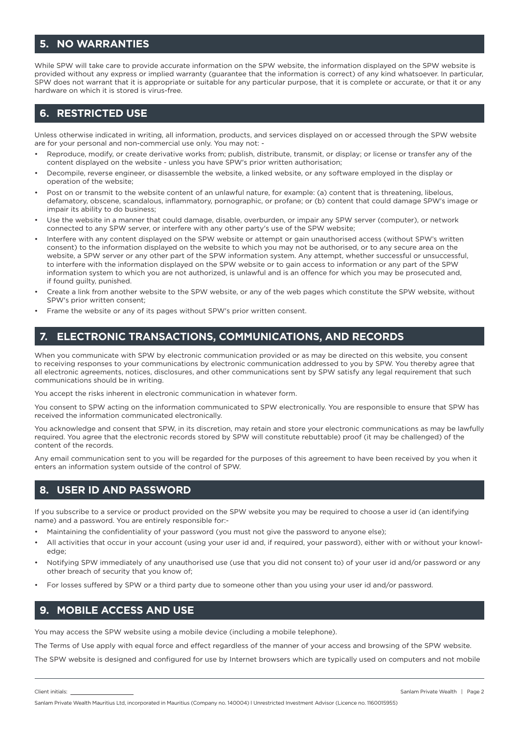#### **5. NO WARRANTIES**

While SPW will take care to provide accurate information on the SPW website, the information displayed on the SPW website is provided without any express or implied warranty (guarantee that the information is correct) of any kind whatsoever. In particular, SPW does not warrant that it is appropriate or suitable for any particular purpose, that it is complete or accurate, or that it or any hardware on which it is stored is virus-free.

#### **6. RESTRICTED USE**

Unless otherwise indicated in writing, all information, products, and services displayed on or accessed through the SPW website are for your personal and non-commercial use only. You may not: -

- Reproduce, modify, or create derivative works from; publish, distribute, transmit, or display; or license or transfer any of the content displayed on the website - unless you have SPW's prior written authorisation;
- Decompile, reverse engineer, or disassemble the website, a linked website, or any software employed in the display or operation of the website;
- Post on or transmit to the website content of an unlawful nature, for example: (a) content that is threatening, libelous, defamatory, obscene, scandalous, inflammatory, pornographic, or profane; or (b) content that could damage SPW's image or impair its ability to do business;
- Use the website in a manner that could damage, disable, overburden, or impair any SPW server (computer), or network connected to any SPW server, or interfere with any other party's use of the SPW website;
- Interfere with any content displayed on the SPW website or attempt or gain unauthorised access (without SPW's written consent) to the information displayed on the website to which you may not be authorised, or to any secure area on the website, a SPW server or any other part of the SPW information system. Any attempt, whether successful or unsuccessful, to interfere with the information displayed on the SPW website or to gain access to information or any part of the SPW information system to which you are not authorized, is unlawful and is an offence for which you may be prosecuted and, if found guilty, punished.
- Create a link from another website to the SPW website, or any of the web pages which constitute the SPW website, without SPW's prior written consent;
- Frame the website or any of its pages without SPW's prior written consent.

#### **7. ELECTRONIC TRANSACTIONS, COMMUNICATIONS, AND RECORDS**

When you communicate with SPW by electronic communication provided or as may be directed on this website, you consent to receiving responses to your communications by electronic communication addressed to you by SPW. You thereby agree that all electronic agreements, notices, disclosures, and other communications sent by SPW satisfy any legal requirement that such communications should be in writing.

You accept the risks inherent in electronic communication in whatever form.

You consent to SPW acting on the information communicated to SPW electronically. You are responsible to ensure that SPW has received the information communicated electronically.

You acknowledge and consent that SPW, in its discretion, may retain and store your electronic communications as may be lawfully required. You agree that the electronic records stored by SPW will constitute rebuttable) proof (it may be challenged) of the content of the records.

Any email communication sent to you will be regarded for the purposes of this agreement to have been received by you when it enters an information system outside of the control of SPW.

#### **8. USER ID AND PASSWORD**

If you subscribe to a service or product provided on the SPW website you may be required to choose a user id (an identifying name) and a password. You are entirely responsible for:-

- Maintaining the confidentiality of your password (you must not give the password to anyone else);
- All activities that occur in your account (using your user id and, if required, your password), either with or without your knowledge;
- Notifying SPW immediately of any unauthorised use (use that you did not consent to) of your user id and/or password or any other breach of security that you know of;
- For losses suffered by SPW or a third party due to someone other than you using your user id and/or password.

#### **9. MOBILE ACCESS AND USE**

You may access the SPW website using a mobile device (including a mobile telephone).

The Terms of Use apply with equal force and effect regardless of the manner of your access and browsing of the SPW website.

The SPW website is designed and configured for use by Internet browsers which are typically used on computers and not mobile

Sanlam Private Wealth Mauritius Ltd, incorporated in Mauritius (Company no. 140004) l Unrestricted Investment Advisor (Licence no. 1160015955)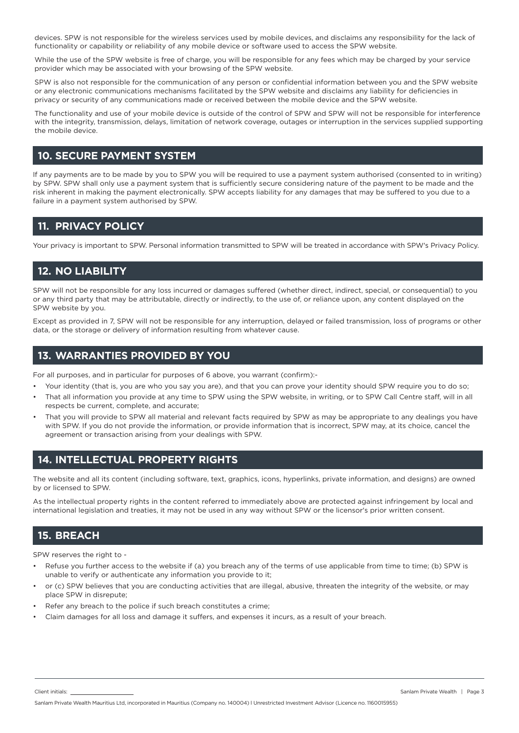devices. SPW is not responsible for the wireless services used by mobile devices, and disclaims any responsibility for the lack of functionality or capability or reliability of any mobile device or software used to access the SPW website.

While the use of the SPW website is free of charge, you will be responsible for any fees which may be charged by your service provider which may be associated with your browsing of the SPW website.

SPW is also not responsible for the communication of any person or confidential information between you and the SPW website or any electronic communications mechanisms facilitated by the SPW website and disclaims any liability for deficiencies in privacy or security of any communications made or received between the mobile device and the SPW website.

The functionality and use of your mobile device is outside of the control of SPW and SPW will not be responsible for interference with the integrity, transmission, delays, limitation of network coverage, outages or interruption in the services supplied supporting the mobile device.

#### **10. SECURE PAYMENT SYSTEM**

If any payments are to be made by you to SPW you will be required to use a payment system authorised (consented to in writing) by SPW. SPW shall only use a payment system that is sufficiently secure considering nature of the payment to be made and the risk inherent in making the payment electronically. SPW accepts liability for any damages that may be suffered to you due to a failure in a payment system authorised by SPW.

#### **11. PRIVACY POLICY**

Your privacy is important to SPW. Personal information transmitted to SPW will be treated in accordance with SPW's Privacy Policy.

#### **12. NO LIABILITY**

SPW will not be responsible for any loss incurred or damages suffered (whether direct, indirect, special, or consequential) to you or any third party that may be attributable, directly or indirectly, to the use of, or reliance upon, any content displayed on the SPW website by you.

Except as provided in 7, SPW will not be responsible for any interruption, delayed or failed transmission, loss of programs or other data, or the storage or delivery of information resulting from whatever cause.

#### **13. WARRANTIES PROVIDED BY YOU**

For all purposes, and in particular for purposes of 6 above, you warrant (confirm):-

- Your identity (that is, you are who you say you are), and that you can prove your identity should SPW require you to do so;
- That all information you provide at any time to SPW using the SPW website, in writing, or to SPW Call Centre staff, will in all respects be current, complete, and accurate;
- That you will provide to SPW all material and relevant facts required by SPW as may be appropriate to any dealings you have with SPW. If you do not provide the information, or provide information that is incorrect, SPW may, at its choice, cancel the agreement or transaction arising from your dealings with SPW.

#### **14. INTELLECTUAL PROPERTY RIGHTS**

The website and all its content (including software, text, graphics, icons, hyperlinks, private information, and designs) are owned by or licensed to SPW.

As the intellectual property rights in the content referred to immediately above are protected against infringement by local and international legislation and treaties, it may not be used in any way without SPW or the licensor's prior written consent.

#### **15. BREACH**

SPW reserves the right to -

- Refuse you further access to the website if (a) you breach any of the terms of use applicable from time to time; (b) SPW is unable to verify or authenticate any information you provide to it;
- or (c) SPW believes that you are conducting activities that are illegal, abusive, threaten the integrity of the website, or may place SPW in disrepute;
- Refer any breach to the police if such breach constitutes a crime;
- Claim damages for all loss and damage it suffers, and expenses it incurs, as a result of your breach.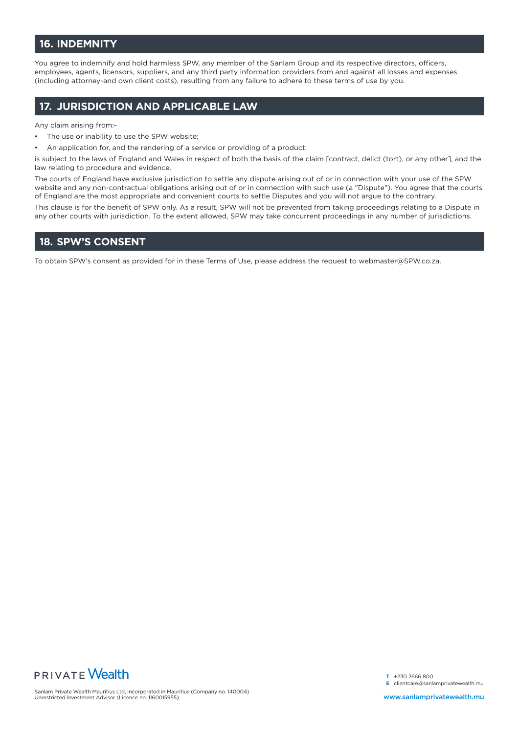#### **16. INDEMNITY**

You agree to indemnify and hold harmless SPW, any member of the Sanlam Group and its respective directors, officers, employees, agents, licensors, suppliers, and any third party information providers from and against all losses and expenses (including attorney-and own client costs), resulting from any failure to adhere to these terms of use by you.

#### **17. JURISDICTION AND APPLICABLE LAW**

Any claim arising from:-

- The use or inability to use the SPW website;
- An application for, and the rendering of a service or providing of a product;

is subject to the laws of England and Wales in respect of both the basis of the claim [contract, delict (tort), or any other], and the law relating to procedure and evidence.

The courts of England have exclusive jurisdiction to settle any dispute arising out of or in connection with your use of the SPW website and any non-contractual obligations arising out of or in connection with such use (a "Dispute"). You agree that the courts of England are the most appropriate and convenient courts to settle Disputes and you will not argue to the contrary.

This clause is for the benefit of SPW only. As a result, SPW will not be prevented from taking proceedings relating to a Dispute in any other courts with jurisdiction. To the extent allowed, SPW may take concurrent proceedings in any number of jurisdictions.

#### **18. SPW'S CONSENT**

To obtain SPW's consent as provided for in these Terms of Use, please address the request to webmaster@SPW.co.za.



Sanlam Private Wealth Mauritius Ltd, incorporated in Mauritius (Company no. 140004) Unrestricted Investment Advisor (Licence no. 1160015955)

**T** +230 2666 800 **E** clientcare@sanlamprivatewealth.mu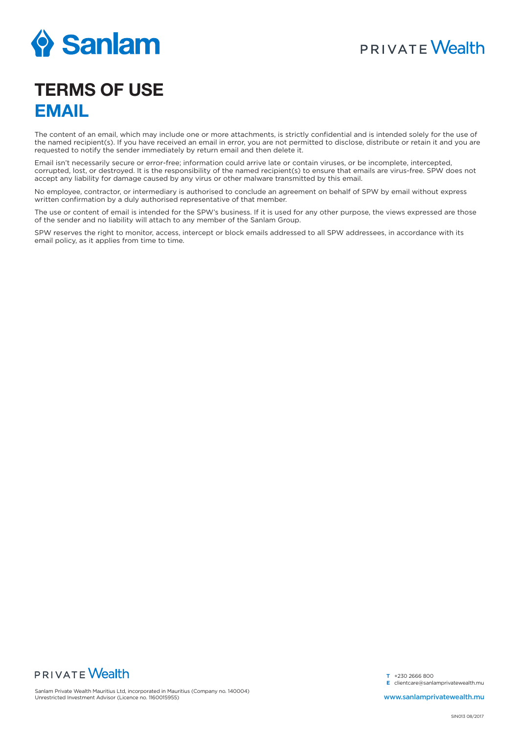

### **PRIVATE Wealth**

# **TERMS OF USE EMAIL**

The content of an email, which may include one or more attachments, is strictly confidential and is intended solely for the use of the named recipient(s). If you have received an email in error, you are not permitted to disclose, distribute or retain it and you are requested to notify the sender immediately by return email and then delete it.

Email isn't necessarily secure or error-free; information could arrive late or contain viruses, or be incomplete, intercepted, corrupted, lost, or destroyed. It is the responsibility of the named recipient(s) to ensure that emails are virus-free. SPW does not accept any liability for damage caused by any virus or other malware transmitted by this email.

No employee, contractor, or intermediary is authorised to conclude an agreement on behalf of SPW by email without express written confirmation by a duly authorised representative of that member.

The use or content of email is intended for the SPW's business. If it is used for any other purpose, the views expressed are those of the sender and no liability will attach to any member of the Sanlam Group.

SPW reserves the right to monitor, access, intercept or block emails addressed to all SPW addressees, in accordance with its email policy, as it applies from time to time.